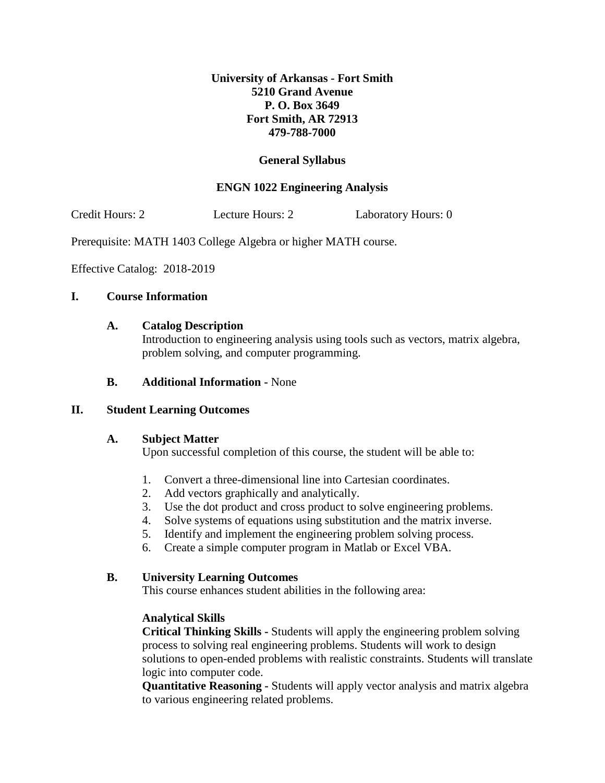## **University of Arkansas - Fort Smith 5210 Grand Avenue P. O. Box 3649 Fort Smith, AR 72913 479-788-7000**

# **General Syllabus**

## **ENGN 1022 Engineering Analysis**

Credit Hours: 2 Lecture Hours: 2 Laboratory Hours: 0

Prerequisite: MATH 1403 College Algebra or higher MATH course.

Effective Catalog: 2018-2019

### **I. Course Information**

#### **A. Catalog Description**

Introduction to engineering analysis using tools such as vectors, matrix algebra, problem solving, and computer programming.

### **B. Additional Information -** None

### **II. Student Learning Outcomes**

### **A. Subject Matter**

Upon successful completion of this course, the student will be able to:

- 1. Convert a three-dimensional line into Cartesian coordinates.
- 2. Add vectors graphically and analytically.
- 3. Use the dot product and cross product to solve engineering problems.
- 4. Solve systems of equations using substitution and the matrix inverse.
- 5. Identify and implement the engineering problem solving process.
- 6. Create a simple computer program in Matlab or Excel VBA.

#### **B. University Learning Outcomes**

This course enhances student abilities in the following area:

### **Analytical Skills**

**Critical Thinking Skills -** Students will apply the engineering problem solving process to solving real engineering problems. Students will work to design solutions to open-ended problems with realistic constraints. Students will translate logic into computer code.

**Quantitative Reasoning -** Students will apply vector analysis and matrix algebra to various engineering related problems.